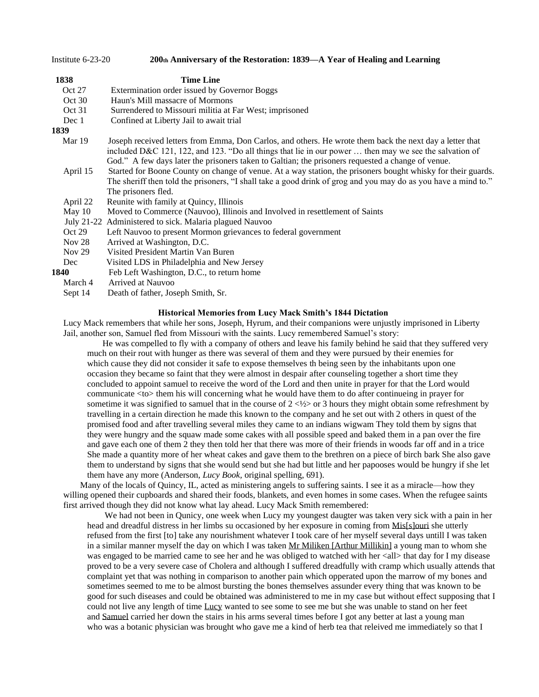| Institute $6-23-20$                              | 200th Anniversary of the Restoration: 1839—A Year of Healing and Learning                                                                                                                                                                                                                                                           |  |  |  |  |  |
|--------------------------------------------------|-------------------------------------------------------------------------------------------------------------------------------------------------------------------------------------------------------------------------------------------------------------------------------------------------------------------------------------|--|--|--|--|--|
| 1838                                             | <b>Time Line</b>                                                                                                                                                                                                                                                                                                                    |  |  |  |  |  |
| Oct 27                                           | Extermination order issued by Governor Boggs                                                                                                                                                                                                                                                                                        |  |  |  |  |  |
| Oct 30                                           | Haun's Mill massacre of Mormons                                                                                                                                                                                                                                                                                                     |  |  |  |  |  |
| Oct 31                                           | Surrendered to Missouri militia at Far West; imprisoned                                                                                                                                                                                                                                                                             |  |  |  |  |  |
| Confined at Liberty Jail to await trial<br>Dec 1 |                                                                                                                                                                                                                                                                                                                                     |  |  |  |  |  |
| 1839                                             |                                                                                                                                                                                                                                                                                                                                     |  |  |  |  |  |
| Mar 19                                           | Joseph received letters from Emma, Don Carlos, and others. He wrote them back the next day a letter that<br>included D&C 121, 122, and 123. "Do all things that lie in our power  then may we see the salvation of                                                                                                                  |  |  |  |  |  |
| April 15                                         | God." A few days later the prisoners taken to Galtian; the prisoners requested a change of venue.<br>Started for Boone County on change of venue. At a way station, the prisoners bought whisky for their guards.<br>The sheriff then told the prisoners, "I shall take a good drink of grog and you may do as you have a mind to." |  |  |  |  |  |
| April 22                                         | The prisoners fled.<br>Reunite with family at Quincy, Illinois                                                                                                                                                                                                                                                                      |  |  |  |  |  |
| May 10                                           | Moved to Commerce (Nauvoo), Illinois and Involved in resettlement of Saints                                                                                                                                                                                                                                                         |  |  |  |  |  |
|                                                  | July 21-22 Administered to sick. Malaria plagued Nauvoo                                                                                                                                                                                                                                                                             |  |  |  |  |  |
| Oct 29                                           | Left Nauvoo to present Mormon grievances to federal government                                                                                                                                                                                                                                                                      |  |  |  |  |  |
| Nov $28$                                         | Arrived at Washington, D.C.                                                                                                                                                                                                                                                                                                         |  |  |  |  |  |
| Nov $29$                                         | Visited President Martin Van Buren                                                                                                                                                                                                                                                                                                  |  |  |  |  |  |
| Dec                                              | Visited LDS in Philadelphia and New Jersey                                                                                                                                                                                                                                                                                          |  |  |  |  |  |
| 1840                                             | Feb Left Washington, D.C., to return home                                                                                                                                                                                                                                                                                           |  |  |  |  |  |
| March 4                                          | Arrived at Nauvoo                                                                                                                                                                                                                                                                                                                   |  |  |  |  |  |
| Sept 14                                          | Death of father, Joseph Smith, Sr.                                                                                                                                                                                                                                                                                                  |  |  |  |  |  |

#### **Historical Memories from Lucy Mack Smith's 1844 Dictation**

Lucy Mack remembers that while her sons, Joseph, Hyrum, and their companions were unjustly imprisoned in Liberty Jail, another son, Samuel fled from Missouri with the saints. Lucy remembered Samuel's story:

 He was compelled to fly with a company of others and leave his family behind he said that they suffered very much on their rout with hunger as there was several of them and they were pursued by their enemies for which cause they did not consider it safe to expose themselves th being seen by the inhabitants upon one occasion they became so faint that they were almost in despair after counseling together a short time they concluded to appoint samuel to receive the word of the Lord and then unite in prayer for that the Lord would communicate <to> them his will concerning what he would have them to do after continueing in prayer for sometime it was signified to samuel that in the course of  $2 \lt l/2$  or 3 hours they might obtain some refreshment by travelling in a certain direction he made this known to the company and he set out with 2 others in quest of the promised food and after travelling several miles they came to an indians wigwam They told them by signs that they were hungry and the squaw made some cakes with all possible speed and baked them in a pan over the fire and gave each one of them 2 they then told her that there was more of their friends in woods far off and in a trice She made a quantity more of her wheat cakes and gave them to the brethren on a piece of birch bark She also gave them to understand by signs that she would send but she had but little and her papooses would be hungry if she let them have any more (Anderson, *Lucy Book,* original spelling, 691).

 Many of the locals of Quincy, IL, acted as ministering angels to suffering saints. I see it as a miracle—how they willing opened their cupboards and shared their foods, blankets, and even homes in some cases. When the refugee saints first arrived though they did not know what lay ahead. Lucy Mack Smith remembered:

We had not been in Qunicy, one week when Lucy my youngest daugter was taken very sick with a pain in her head and dreadful distress in her limbs su occasioned by her exposure in coming from [Mis\[s\]ouri](https://www.josephsmithpapers.org/paper-summary/lucy-mack-smith-history-1844-1845/206#11473567961862344478) she utterly refused from the first [to] take any nourishment whatever I took care of her myself several days untill I was taken in a similar manner myself the day on which I was taken [Mr Miliken \[Arthur Millikin\]](https://www.josephsmithpapers.org/paper-summary/lucy-mack-smith-history-1844-1845/206#13136517986211969132) a young man to whom she was engaged to be married came to see her and he was obliged to watched with her <all> that day for I my disease proved to be a very severe case of Cholera and although I suffered dreadfully with cramp which usually attends that complaint yet that was nothing in comparison to another pain which opperated upon the marrow of my bones and sometimes seemed to me to be almost bursting the bones themselves assunder every thing that was known to be good for such diseases and could be obtained was administered to me in my case but without effect supposing that I could not live any length of time [Lucy](https://www.josephsmithpapers.org/paper-summary/lucy-mack-smith-history-1844-1845/206#18352768442218614937) wanted to see some to see me but she was unable to stand on her feet and [Samuel](https://www.josephsmithpapers.org/paper-summary/lucy-mack-smith-history-1844-1845/206#10193343831161333827) carried her down the stairs in his arms several times before I got any better at last a young man who was a botanic physician was brought who gave me a kind of herb tea that releived me immediately so that I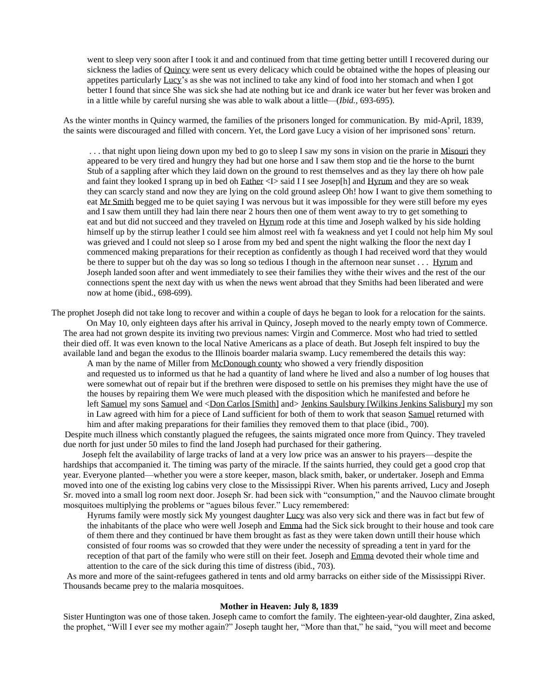went to sleep very soon after I took it and and continued from that time getting better untill I recovered during our sickness the ladies of [Quincy](https://www.josephsmithpapers.org/paper-summary/lucy-mack-smith-history-1844-1845/206#2965655481127999770) were sent us every delicacy which could be obtained withe the hopes of pleasing our appetites particularly [Lucy'](https://www.josephsmithpapers.org/paper-summary/lucy-mack-smith-history-1844-1845/207#15789798641909726540)s as she was not inclined to take any kind of food into her stomach and when I got better I found that since She was sick she had ate nothing but ice and drank ice water but her fever was broken and in a little while by careful nursing she was able to walk about a little—(*Ibid.,* 693-695).

As the winter months in Quincy warmed, the families of the prisoners longed for communication. By mid-April, 1839, the saints were discouraged and filled with concern. Yet, the Lord gave Lucy a vision of her imprisoned sons' return.

. . . that night upon lieing down upon my bed to go to sleep I saw my sons in vision on the prarie in [Misouri](https://www.josephsmithpapers.org/paper-summary/lucy-mack-smith-history-1844-1845/208#13340603930222037197) they appeared to be very tired and hungry they had but one horse and I saw them stop and tie the horse to the burnt Stub of a sappling after which they laid down on the ground to rest themselves and as they lay there oh how pale and faint they looked I sprang up in bed oh [Father](https://www.josephsmithpapers.org/paper-summary/lucy-mack-smith-history-1844-1845/208#9121879067645573873) <I> said I I see Josep[h] and [Hyrum](https://www.josephsmithpapers.org/paper-summary/lucy-mack-smith-history-1844-1845/208#11982415996590360353) and they are so weak they can scarcly stand and now they are lying on the cold ground asleep Oh! how I want to give them something to eat [Mr Smith](https://www.josephsmithpapers.org/paper-summary/lucy-mack-smith-history-1844-1845/208#11870148925108534741) begged me to be quiet saying I was nervous but it was impossible for they were still before my eyes and I saw them untill they had lain there near 2 hours then one of them went away to try to get something to eat and but did not succeed and they traveled on [Hyrum](https://www.josephsmithpapers.org/paper-summary/lucy-mack-smith-history-1844-1845/208#4435779734251019522) rode at this time and Joseph walked by his side holding himself up by the stirrup leather I could see him almost reel with fa weakness and yet I could not help him My soul was grieved and I could not sleep so I arose from my bed and spent the night walking the floor the next day I commenced making preparations for their reception as confidently as though I had received word that they would be there to supper but oh the day was so long so tedious I though in the afternoon near sunset . . . [Hyrum](https://www.josephsmithpapers.org/paper-summary/lucy-mack-smith-history-1844-1845/209#11160117911967205939) and Joseph landed soon after and went immediately to see their families they withe their wives and the rest of the our connections spent the next day with us when the news went abroad that they Smiths had been liberated and were now at home (ibid., 698-699).

The prophet Joseph did not take long to recover and within a couple of days he began to look for a relocation for the saints.

 On May 10, only eighteen days after his arrival in Quincy, Joseph moved to the nearly empty town of Commerce. The area had not grown despite its inviting two previous names: Virgin and Commerce. Most who had tried to settled their died off. It was even known to the local Native Americans as a place of death. But Joseph felt inspired to buy the available land and began the exodus to the Illinois boarder malaria swamp. Lucy remembered the details this way: A man by the name of Miller from [McDonough county](https://www.josephsmithpapers.org/paper-summary/lucy-mack-smith-history-1844-1845/209#3873996450427306887) who showed a very friendly disposition

and requested us to informed us that he had a quantity of land where he lived and also a number of log houses that were somewhat out of repair but if the brethren were disposed to settle on his premises they might have the use of the houses by repairing them We were much pleased with the disposition which he manifested and before he left [Samuel](https://www.josephsmithpapers.org/paper-summary/lucy-mack-smith-history-1844-1845/209#14702186989444832497) my sons [Samuel](https://www.josephsmithpapers.org/paper-summary/lucy-mack-smith-history-1844-1845/209#17186942959501773068) and [<Don Carlos \[Smith\]](https://www.josephsmithpapers.org/paper-summary/lucy-mack-smith-history-1844-1845/209#13967769479930366869) and> [Jenkins Saulsbury \[Wilkins Jenkins Salisbury\]](https://www.josephsmithpapers.org/paper-summary/lucy-mack-smith-history-1844-1845/209#16653120472576538722) my son in Law agreed with him for a piece of Land sufficient for both of them to work that season [Samuel](https://www.josephsmithpapers.org/paper-summary/lucy-mack-smith-history-1844-1845/209#1185274762412806486) returned with him and after making preparations for their families they removed them to that place (ibid., 700).

 Despite much illness which constantly plagued the refugees, the saints migrated once more from Quincy. They traveled due north for just under 50 miles to find the land Joseph had purchased for their gathering.

 Joseph felt the availability of large tracks of land at a very low price was an answer to his prayers—despite the hardships that accompanied it. The timing was party of the miracle. If the saints hurried, they could get a good crop that year. Everyone planted—whether you were a store keeper, mason, black smith, baker, or undertaker. Joseph and Emma moved into one of the existing log cabins very close to the Mississippi River. When his parents arrived, Lucy and Joseph Sr. moved into a small log room next door. Joseph Sr. had been sick with "consumption," and the Nauvoo climate brought mosquitoes multiplying the problems or "agues bilous fever." Lucy remembered:

Hyrums family were mostly sick My youngest daughter [Lucy](https://www.josephsmithpapers.org/paper-summary/lucy-mack-smith-history-1844-1845/211#17077778627894276010) was also very sick and there was in fact but few of the inhabitants of the place who were well Joseph and [Emma](https://www.josephsmithpapers.org/paper-summary/lucy-mack-smith-history-1844-1845/211#14623054567605681807) had the Sick sick brought to their house and took care of them there and they continued br have them brought as fast as they were taken down untill their house which consisted of four rooms was so crowded that they were under the necessity of spreading a tent in yard for the reception of that part of the family who were still on their feet. Joseph and [Emma](https://www.josephsmithpapers.org/paper-summary/lucy-mack-smith-history-1844-1845/211#18378712928636566675) devoted their whole time and attention to the care of the sick during this time of distress (ibid., 703).

 As more and more of the saint-refugees gathered in tents and old army barracks on either side of the Mississippi River. Thousands became prey to the malaria mosquitoes.

#### **Mother in Heaven: July 8, 1839**

Sister Huntington was one of those taken. Joseph came to comfort the family. The eighteen-year-old daughter, Zina asked, the prophet, "Will I ever see my mother again?" Joseph taught her, "More than that," he said, "you will meet and become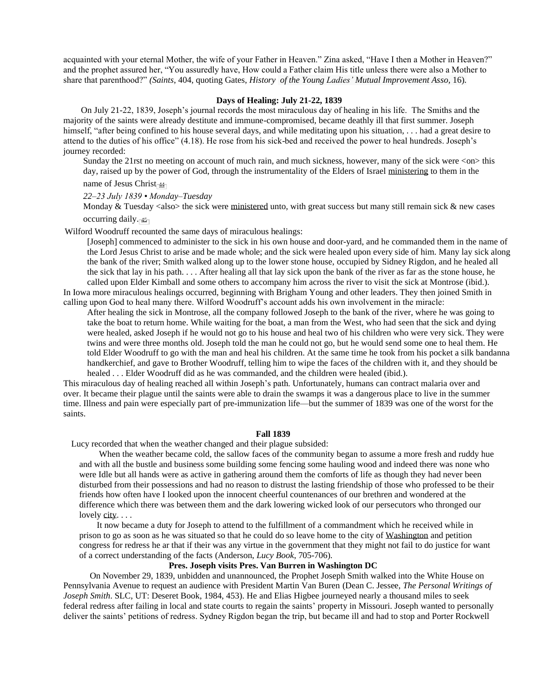acquainted with your eternal Mother, the wife of your Father in Heaven." Zina asked, "Have I then a Mother in Heaven?" and the prophet assured her, "You assuredly have, How could a Father claim His title unless there were also a Mother to share that parenthood?" *(Saints*, 404, quoting Gates, *History of the Young Ladies' Mutual [Improvement](https://archive.org/stream/historyofyoungla00gate) Asso,* 16).

#### **Days of Healing: July 21-22, 1839**

 On July 21-22, 1839, Joseph's journal records the most miraculous day of healing in his life. The Smiths and the majority of the saints were already destitute and immune-compromised, became deathly ill that first summer. Joseph himself, "after being confined to his house several days, and while meditating upon his situation, ... had a great desire to attend to the duties of his office" (4.18). He rose from his sick-bed and received the power to heal hundreds. Joseph's journey recorded:

Sunday the 21rst no meeting on account of much rain, and much sickness, however, many of the sick were <on> this day, raised up by the power of God, through the instrumentality of the Elders of Israel [ministering](https://www.josephsmithpapers.org/paper-summary/journal-1839/11#7655681085168285155) to them in the

name of Jesus Christ

*22–23 July 1839 • Monday–Tuesday*

Monday  $&$  Tuesday  $&$ also $>$  the sick were [ministered](https://www.josephsmithpapers.org/paper-summary/journal-1839/11#7392209308426580351) unto, with great success but many still remain sick  $&$  new cases occurring daily. $\frac{45}{12}$  $\frac{45}{12}$  $\frac{45}{12}$ 

Wilford Woodruff recounted the same days of miraculous healings:

[Joseph] commenced to administer to the sick in his own house and door-yard, and he commanded them in the name of the Lord Jesus Christ to arise and be made whole; and the sick were healed upon every side of him. Many lay sick along the bank of the river; Smith walked along up to the lower stone house, occupied by Sidney Rigdon, and he healed all the sick that lay in his path. . . . After healing all that lay sick upon the bank of the river as far as the stone house, he called upon Elder Kimball and some others to accompany him across the river to visit the sick at Montrose (ibid.). In Iowa more miraculous healings occurred, beginning with Brigham Young and other leaders. They then joined Smith in

calling upon God to heal many there. Wilford Woodruff's account adds his own involvement in the miracle:

After healing the sick in Montrose, all the company followed Joseph to the bank of the river, where he was going to take the boat to return home. While waiting for the boat, a man from the West, who had seen that the sick and dying were healed, asked Joseph if he would not go to his house and heal two of his children who were very sick. They were twins and were three months old. Joseph told the man he could not go, but he would send some one to heal them. He told Elder Woodruff to go with the man and heal his children. At the same time he took from his pocket a silk bandanna handkerchief, and gave to Brother Woodruff, telling him to wipe the faces of the children with it, and they should be healed . . . Elder Woodruff did as he was commanded, and the children were healed (ibid.).

This miraculous day of healing reached all within Joseph's path. Unfortunately, humans can contract malaria over and over. It became their plague until the saints were able to drain the swamps it was a dangerous place to live in the summer time. Illness and pain were especially part of pre-immunization life—but the summer of 1839 was one of the worst for the saints.

#### **Fall 1839**

Lucy recorded that when the weather changed and their plague subsided:

 When the weather became cold, the sallow faces of the community began to assume a more fresh and ruddy hue and with all the bustle and business some building some fencing some hauling wood and indeed there was none who were Idle but all hands were as active in gathering around them the comforts of life as though they had never been disturbed from their possessions and had no reason to distrust the lasting friendship of those who professed to be their friends how often have I looked upon the innocent cheerful countenances of our brethren and wondered at the difference which there was between them and the dark lowering wicked look of our persecutors who thronged our lovely [city.](https://www.josephsmithpapers.org/paper-summary/lucy-mack-smith-history-1844-1845/213#3530067314661232452) . . .

 It now became a duty for Joseph to attend to the fulfillment of a commandment which he received while in prison to go as soon as he was situated so that he could do so leave home to the city of [Washington](https://www.josephsmithpapers.org/paper-summary/lucy-mack-smith-history-1844-1845/213#7161555374581849464) and petition congress for redress he ar that if their was any virtue in the government that they might not fail to do justice for want of a correct understanding of the facts (Anderson, *Lucy Book*, 705-706).

# **Pres. Joseph visits Pres. Van Burren in Washington DC**

 On November 29, 1839, unbidden and unannounced, the Prophet Joseph Smith walked into the White House on Pennsylvania Avenue to request an audience with President Martin Van Buren (Dean C. Jessee, *The Personal Writings of Joseph Smith*. SLC, UT: Deseret Book, 1984, 453). He and Elias Higbee journeyed nearly a thousand miles to seek federal redress after failing in local and state courts to regain the saints' property in Missouri. Joseph wanted to personally deliver the saints' petitions of redress. Sydney Rigdon began the trip, but became ill and had to stop and Porter Rockwell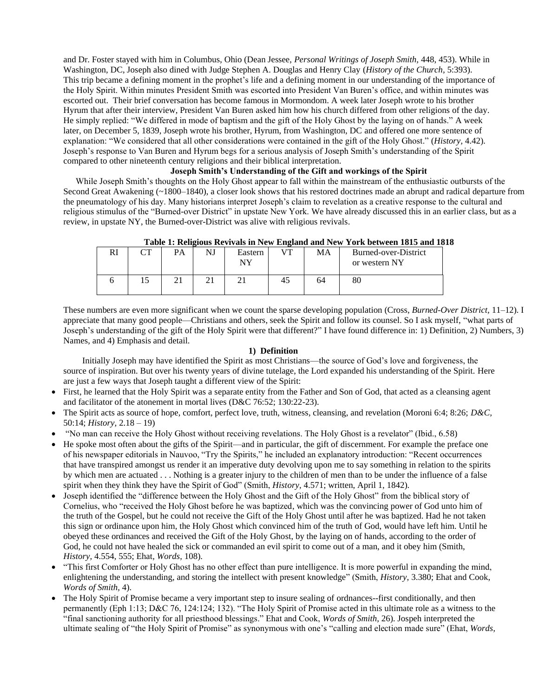and Dr. Foster stayed with him in Columbus, Ohio (Dean Jessee, *Personal Writings of Joseph Smith,* 448, 453). While in Washington, DC, Joseph also dined with Judge Stephen A. Douglas and Henry Clay (*History of the Church,* 5:393). This trip became a defining moment in the prophet's life and a defining moment in our understanding of the importance of the Holy Spirit. Within minutes President Smith was escorted into President Van Buren's office, and within minutes was escorted out. Their brief conversation has become famous in Mormondom. A week later Joseph wrote to his brother Hyrum that after their interview, President Van Buren asked him how his church differed from other religions of the day. He simply replied: "We differed in mode of baptism and the gift of the Holy Ghost by the laying on of hands." A week later, on December 5, 1839, Joseph wrote his brother, Hyrum, from Washington, DC and offered one more sentence of explanation: "We considered that all other considerations were contained in the gift of the Holy Ghost." (*History,* 4.42). Joseph's response to Van Buren and Hyrum begs for a serious analysis of Joseph Smith's understanding of the Spirit compared to other nineteenth century religions and their biblical interpretation.

# **Joseph Smith's Understanding of the Gift and workings of the Spirit**

 While Joseph Smith's thoughts on the Holy Ghost appear to fall within the mainstream of the enthusiastic outbursts of the Second Great Awakening (~1800–1840), a closer look shows that his restored doctrines made an abrupt and radical departure from the pneumatology of his day. Many historians interpret Joseph's claim to revelation as a creative response to the cultural and religious stimulus of the "Burned-over District" in upstate New York. We have already discussed this in an earlier class, but as a review, in upstate NY, the Burned-over-District was alive with religious revivals.

| THOIC IT INCHERCHO INCIPIONS IN FIGHT ISSUED HIM FIGHT TOTAL SOUL TOTAL MINE IN |            |    |    |               |              |    |                                       |
|---------------------------------------------------------------------------------|------------|----|----|---------------|--------------|----|---------------------------------------|
| RI                                                                              | $\sqrt{2}$ | PA | NJ | Eastern<br>NY | $V^{\rm TT}$ | MA | Burned-over-District<br>or western NY |
|                                                                                 |            |    |    |               | -45          | 64 | 80                                    |

**Table 1: Religious Revivals in New England and New York between 1815 and 1818**

These numbers are even more significant when we count the sparse developing population (Cross, *Burned-Over District,* 11–12). I appreciate that many good people—Christians and others, seek the Spirit and follow its counsel. So I ask myself, "what parts of Joseph's understanding of the gift of the Holy Spirit were that different?" I have found difference in: 1) Definition, 2) Numbers, 3) Names, and 4) Emphasis and detail.

## **1) Definition**

 Initially Joseph may have identified the Spirit as most Christians—the source of God's love and forgiveness, the source of inspiration. But over his twenty years of divine tutelage, the Lord expanded his understanding of the Spirit. Here are just a few ways that Joseph taught a different view of the Spirit:

- First, he learned that the Holy Spirit was a separate entity from the Father and Son of God, that acted as a cleansing agent and facilitator of the atonement in mortal lives (D&C 76:52; 130:22-23).
- The Spirit acts as source of hope, comfort, perfect love, truth, witness, cleansing, and revelation (Moroni 6:4; 8:26; *D&C,*  50:14; *History,* 2.18 – 19)
- "No man can receive the Holy Ghost without receiving revelations. The Holy Ghost is a revelator" (Ibid., 6.58)
- He spoke most often about the gifts of the Spirit—and in particular, the gift of discernment. For example the preface one of his newspaper editorials in Nauvoo, "Try the Spirits," he included an explanatory introduction: "Recent occurrences that have transpired amongst us render it an imperative duty devolving upon me to say something in relation to the spirits by which men are actuated . . . Nothing is a greater injury to the children of men than to be under the influence of a false spirit when they think they have the Spirit of God" (Smith, *History,* 4.571; written, April 1, 1842).
- Joseph identified the "difference between the Holy Ghost and the Gift of the Holy Ghost" from the biblical story of Cornelius, who "received the Holy Ghost before he was baptized, which was the convincing power of God unto him of the truth of the Gospel, but he could not receive the Gift of the Holy Ghost until after he was baptized. Had he not taken this sign or ordinance upon him, the Holy Ghost which convinced him of the truth of God, would have left him. Until he obeyed these ordinances and received the Gift of the Holy Ghost, by the laying on of hands, according to the order of God, he could not have healed the sick or commanded an evil spirit to come out of a man, and it obey him (Smith, *History,* 4.554, 555; Ehat, *Words,* 108).
- "This first Comforter or Holy Ghost has no other effect than pure intelligence. It is more powerful in expanding the mind, enlightening the understanding, and storing the intellect with present knowledge" (Smith, *History,* 3.380; Ehat and Cook, *Words of Smith,* 4).
- The Holy Spirit of Promise became a very important step to insure sealing of ordnances--first conditionally, and then permanently (Eph 1:13; D&C 76, 124:124; 132). "The Holy Spirit of Promise acted in this ultimate role as a witness to the "final sanctioning authority for all priesthood blessings." Ehat and Cook, *Words of Smith,* 26). Jospeh interpreted the ultimate sealing of "the Holy Spirit of Promise" as synonymous with one's "calling and election made sure" (Ehat, *Words,*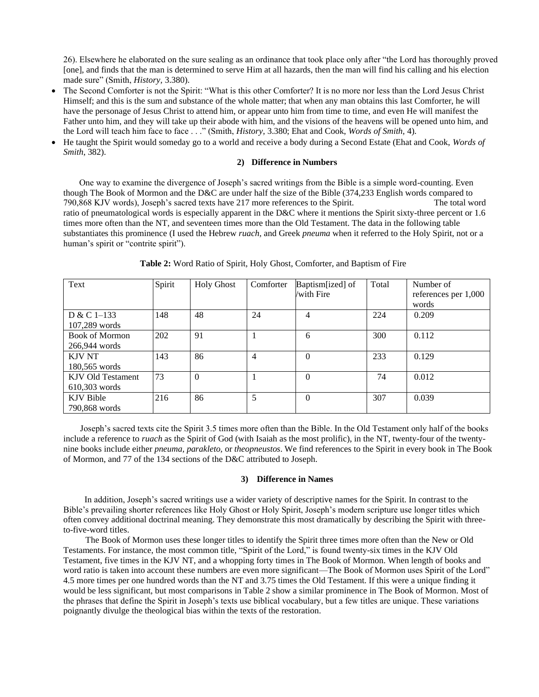26). Elsewhere he elaborated on the sure sealing as an ordinance that took place only after "the Lord has thoroughly proved [one], and finds that the man is determined to serve Him at all hazards, then the man will find his calling and his election made sure" (Smith, *History,* 3.380).

- The Second Comforter is not the Spirit: "What is this other Comforter? It is no more nor less than the Lord Jesus Christ Himself; and this is the sum and substance of the whole matter; that when any man obtains this last Comforter, he will have the personage of Jesus Christ to attend him, or appear unto him from time to time, and even He will manifest the Father unto him, and they will take up their abode with him, and the visions of the heavens will be opened unto him, and the Lord will teach him face to face . . ." (Smith, *History,* 3.380; Ehat and Cook, *Words of Smith,* 4).
- He taught the Spirit would someday go to a world and receive a body during a Second Estate (Ehat and Cook, *Words of Smith*, 382).

### **2) Difference in Numbers**

One way to examine the divergence of Joseph's sacred writings from the Bible is a simple word-counting. Even though The Book of Mormon and the D&C are under half the size of the Bible (374,233 English words compared to 790,868 KJV words), Joseph's sacred texts have 217 more references to the Spirit. The total word ratio of pneumatological words is especially apparent in the D&C where it mentions the Spirit sixty-three percent or 1.6 times more often than the NT, and seventeen times more than the Old Testament. The data in the following table substantiates this prominence (I used the Hebrew *ruach,* and Greek *pneuma* when it referred to the Holy Spirit, not or a human's spirit or "contrite spirit").

| Text                                   | Spirit | <b>Holy Ghost</b> | Comforter | Baptism[ized] of<br>/with Fire | Total | Number of<br>references per 1,000<br>words |
|----------------------------------------|--------|-------------------|-----------|--------------------------------|-------|--------------------------------------------|
| $D & C 1-133$<br>107,289 words         | 148    | 48                | 24        | 4                              | 224   | 0.209                                      |
| <b>Book of Mormon</b><br>266,944 words | 202    | 91                |           | 6                              | 300   | 0.112                                      |
| <b>KJV NT</b><br>180,565 words         | 143    | 86                | 4         | $\Omega$                       | 233   | 0.129                                      |
| KJV Old Testament<br>$610,303$ words   | 73     | $\theta$          |           | 0                              | 74    | 0.012                                      |
| KJV Bible<br>790.868 words             | 216    | 86                | 5         | $\Omega$                       | 307   | 0.039                                      |

**Table 2:** Word Ratio of Spirit, Holy Ghost, Comforter, and Baptism of Fire

 Joseph's sacred texts cite the Spirit 3.5 times more often than the Bible. In the Old Testament only half of the books include a reference to *ruach* as the Spirit of God (with Isaiah as the most prolific), in the NT, twenty-four of the twentynine books include either *pneuma, parakleto,* or *theopneustos*. We find references to the Spirit in every book in The Book of Mormon, and 77 of the 134 sections of the D&C attributed to Joseph.

# **3) Difference in Names**

 In addition, Joseph's sacred writings use a wider variety of descriptive names for the Spirit. In contrast to the Bible's prevailing shorter references like Holy Ghost or Holy Spirit, Joseph's modern scripture use longer titles which often convey additional doctrinal meaning. They demonstrate this most dramatically by describing the Spirit with threeto-five-word titles.

 The Book of Mormon uses these longer titles to identify the Spirit three times more often than the New or Old Testaments. For instance, the most common title, "Spirit of the Lord," is found twenty-six times in the KJV Old Testament, five times in the KJV NT, and a whopping forty times in The Book of Mormon. When length of books and word ratio is taken into account these numbers are even more significant—The Book of Mormon uses Spirit of the Lord" 4.5 more times per one hundred words than the NT and 3.75 times the Old Testament. If this were a unique finding it would be less significant, but most comparisons in Table 2 show a similar prominence in The Book of Mormon. Most of the phrases that define the Spirit in Joseph's texts use biblical vocabulary, but a few titles are unique. These variations poignantly divulge the theological bias within the texts of the restoration*.*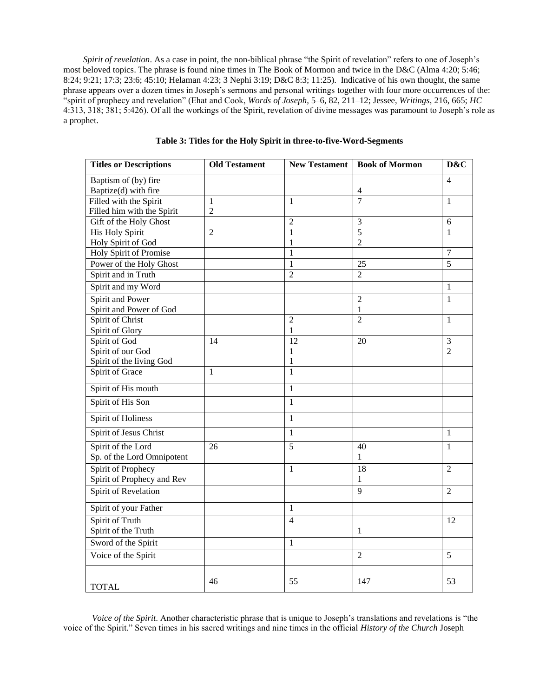*Spirit of revelation*. As a case in point, the non-biblical phrase "the Spirit of revelation" refers to one of Joseph's most beloved topics. The phrase is found nine times in The Book of Mormon and twice in the D&C (Alma 4:20; 5:46; 8:24; 9:21; 17:3; 23:6; 45:10; Helaman 4:23; 3 Nephi 3:19; D&C 8:3; 11:25). Indicative of his own thought, the same phrase appears over a dozen times in Joseph's sermons and personal writings together with four more occurrences of the: "spirit of prophecy and revelation" (Ehat and Cook, *Words of Joseph,* 5–6, 82, 211–12; Jessee, *Writings,* 216, 665; *HC*  4:313, 318; 381; 5:426). Of all the workings of the Spirit, revelation of divine messages was paramount to Joseph's role as a prophet.

| <b>Titles or Descriptions</b> | <b>Old Testament</b> |                | <b>New Testament   Book of Mormon</b> | D&C            |
|-------------------------------|----------------------|----------------|---------------------------------------|----------------|
| Baptism of (by) fire          |                      |                |                                       | $\overline{4}$ |
| Baptize(d) with fire          |                      |                | 4                                     |                |
| Filled with the Spirit        | $\mathbf{1}$         | $\mathbf{1}$   | $\overline{7}$                        | $\mathbf{1}$   |
| Filled him with the Spirit    | $\overline{2}$       |                |                                       |                |
| Gift of the Holy Ghost        |                      | $\overline{2}$ | 3                                     | 6              |
| <b>His Holy Spirit</b>        | $\overline{2}$       | $\mathbf{1}$   | 5                                     | $\mathbf{1}$   |
| Holy Spirit of God            |                      | 1              | 2                                     |                |
| Holy Spirit of Promise        |                      | 1              |                                       | $\overline{7}$ |
| Power of the Holy Ghost       |                      | 1              | 25                                    | 5              |
| Spirit and in Truth           |                      | $\overline{2}$ | $\mathfrak{D}$                        |                |
| Spirit and my Word            |                      |                |                                       | $\mathbf{1}$   |
| Spirit and Power              |                      |                | $\overline{c}$                        | $\mathbf{1}$   |
| Spirit and Power of God       |                      |                | 1                                     |                |
| Spirit of Christ              |                      | $\overline{2}$ | $\overline{2}$                        | $\mathbf{1}$   |
| Spirit of Glory               |                      | $\mathbf{1}$   |                                       |                |
| Spirit of God                 | 14                   | 12             | 20                                    | 3              |
| Spirit of our God             |                      | 1              |                                       | $\overline{2}$ |
| Spirit of the living God      |                      | 1              |                                       |                |
| Spirit of Grace               | 1                    | $\mathbf{1}$   |                                       |                |
| Spirit of His mouth           |                      | $\mathbf{1}$   |                                       |                |
| Spirit of His Son             |                      | $\mathbf{1}$   |                                       |                |
| Spirit of Holiness            |                      | $\mathbf{1}$   |                                       |                |
| Spirit of Jesus Christ        |                      | $\mathbf{1}$   |                                       | $\mathbf{1}$   |
| Spirit of the Lord            | 26                   | $\overline{5}$ | $\overline{40}$                       | 1              |
| Sp. of the Lord Omnipotent    |                      |                | 1                                     |                |
| Spirit of Prophecy            |                      | $\mathbf{1}$   | 18                                    | $\overline{2}$ |
| Spirit of Prophecy and Rev    |                      |                | 1                                     |                |
| Spirit of Revelation          |                      |                | 9                                     | $\overline{2}$ |
| Spirit of your Father         |                      | 1              |                                       |                |
| Spirit of Truth               |                      | $\overline{4}$ |                                       | 12             |
| Spirit of the Truth           |                      |                | 1                                     |                |
| Sword of the Spirit           |                      | $\mathbf{1}$   |                                       |                |
| Voice of the Spirit           |                      |                | $\overline{2}$                        | 5              |
|                               |                      |                |                                       |                |
|                               | 46                   | 55             | 147                                   | 53             |
| <b>TOTAL</b>                  |                      |                |                                       |                |

**Table 3: Titles for the Holy Spirit in three-to-five-Word-Segments**

 *Voice of the Spirit*. Another characteristic phrase that is unique to Joseph's translations and revelations is "the voice of the Spirit." Seven times in his sacred writings and nine times in the official *History of the Church* Joseph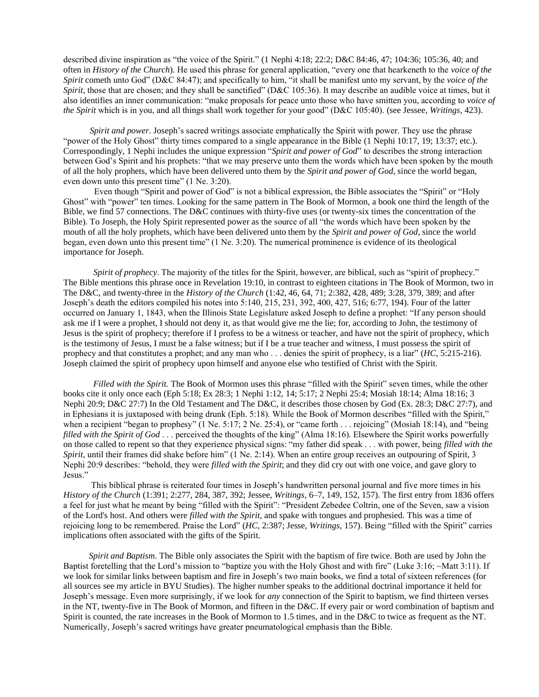described divine inspiration as "the voice of the Spirit." (1 Nephi 4:18; 22:2; D&C 84:46, 47; 104:36; 105:36, 40; and often in *History of the Church*). He used this phrase for general application, "every one that hearkeneth to the *voice of the Spirit* cometh unto God" (D&C 84:47); and specifically to him, "it shall be manifest unto my servant, by the *voice of the Spirit*, those that are chosen; and they shall be sanctified" (D&C 105:36). It may describe an audible voice at times, but it also identifies an inner communication: "make proposals for peace unto those who have smitten you, according to *voice of the Spirit* which is in you, and all things shall work together for your good" (D&C 105:40). (see Jessee*, Writings,* 423).

*Spirit and power.* Joseph's sacred writings associate emphatically the Spirit with power. They use the phrase "power of the Holy Ghost" thirty times compared to a single appearance in the Bible (1 Nephi 10:17, 19; 13:37; etc.). Correspondingly, 1 Nephi includes the unique expression "*Spirit and power of God*" to describes the strong interaction between God's Spirit and his prophets: "that we may preserve unto them the words which have been spoken by the mouth of all the holy prophets, which have been delivered unto them by the *Spirit and power of God*, since the world began, even down unto this present time" (1 Ne. 3:20).

 Even though "Spirit and power of God" is not a biblical expression, the Bible associates the "Spirit" or "Holy Ghost" with "power" ten times. Looking for the same pattern in The Book of Mormon, a book one third the length of the Bible, we find 57 connections. The D&C continues with thirty-five uses (or twenty-six times the concentration of the Bible). To Joseph, the Holy Spirit represented power as the source of all "the words which have been spoken by the mouth of all the holy prophets, which have been delivered unto them by the *Spirit and power of God*, since the world began, even down unto this present time" (1 Ne. 3:20). The numerical prominence is evidence of its theological importance for Joseph.

 *Spirit of prophecy*. The majority of the titles for the Spirit, however, are biblical, such as "spirit of prophecy." The Bible mentions this phrase once in Revelation 19:10, in contrast to eighteen citations in The Book of Mormon, two in The D&C, and twenty-three in the *History of the Church* (1:42, 46, 64, 71; 2:382, 428, 489; 3:28, 379, 389; and after Joseph's death the editors compiled his notes into 5:140, 215, 231, 392, 400, 427, 516; 6:77, 194). Four of the latter occurred on January 1, 1843, when the Illinois State Legislature asked Joseph to define a prophet: "If any person should ask me if I were a prophet, I should not deny it, as that would give me the lie; for, according to John, the testimony of Jesus is the spirit of prophecy; therefore if I profess to be a witness or teacher, and have not the spirit of prophecy, which is the testimony of Jesus, I must be a false witness; but if I be a true teacher and witness, I must possess the spirit of prophecy and that constitutes a prophet; and any man who . . . denies the spirit of prophecy, is a liar" (*HC,* 5:215-216). Joseph claimed the spirit of prophecy upon himself and anyone else who testified of Christ with the Spirit.

 *Filled with the Spirit.* The Book of Mormon uses this phrase "filled with the Spirit" seven times, while the other books cite it only once each (Eph 5:18; Ex 28:3; 1 Nephi 1:12, 14; 5:17; 2 Nephi 25:4; Mosiah 18:14; Alma 18:16; 3 Nephi 20:9; D&C 27:7) In the Old Testament and The D&C, it describes those chosen by God (Ex. 28:3; D&C 27:7), and in Ephesians it is juxtaposed with being drunk (Eph. 5:18). While the Book of Mormon describes "filled with the Spirit," when a recipient "began to prophesy" (1 Ne. 5:17; 2 Ne. 25:4), or "came forth . . . rejoicing" (Mosiah 18:14), and "being *filled with the Spirit of God* . . . perceived the thoughts of the king" (Alma 18:16). Elsewhere the Spirit works powerfully on those called to repent so that they experience physical signs: "my father did speak . . . with power, being *filled with the Spirit*, until their frames did shake before him" (1 Ne. 2:14). When an entire group receives an outpouring of Spirit, 3 Nephi 20:9 describes: "behold, they were *filled with the Spirit*; and they did cry out with one voice, and gave glory to Jesus."

 This biblical phrase is reiterated four times in Joseph's handwritten personal journal and five more times in his *History of the Church* (1:391; 2:277, 284, 387, 392; Jessee, *Writings,* 6–7, 149, 152, 157). The first entry from 1836 offers a feel for just what he meant by being "filled with the Spirit": "President Zebedee Coltrin, one of the Seven, saw a vision of the Lord's host. And others were *filled with the Spirit*, and spake with tongues and prophesied. This was a time of rejoicing long to be remembered. Praise the Lord" (*HC,* 2:387; Jesse, *Writings,* 157). Being "filled with the Spirit" carries implications often associated with the gifts of the Spirit.

 *Spirit and Baptism*. The Bible only associates the Spirit with the baptism of fire twice. Both are used by John the Baptist foretelling that the Lord's mission to "baptize you with the Holy Ghost and with fire" (Luke 3:16; ~Matt 3:11). If we look for similar links between baptism and fire in Joseph's two main books, we find a total of sixteen references (for all sources see my article in BYU Studies). The higher number speaks to the additional doctrinal importance it held for Joseph's message. Even more surprisingly, if we look for *any* connection of the Spirit to baptism, we find thirteen verses in the NT, twenty-five in The Book of Mormon, and fifteen in the D&C. If every pair or word combination of baptism and Spirit is counted, the rate increases in the Book of Mormon to 1.5 times, and in the D&C to twice as frequent as the NT. Numerically, Joseph's sacred writings have greater pneumatological emphasis than the Bible.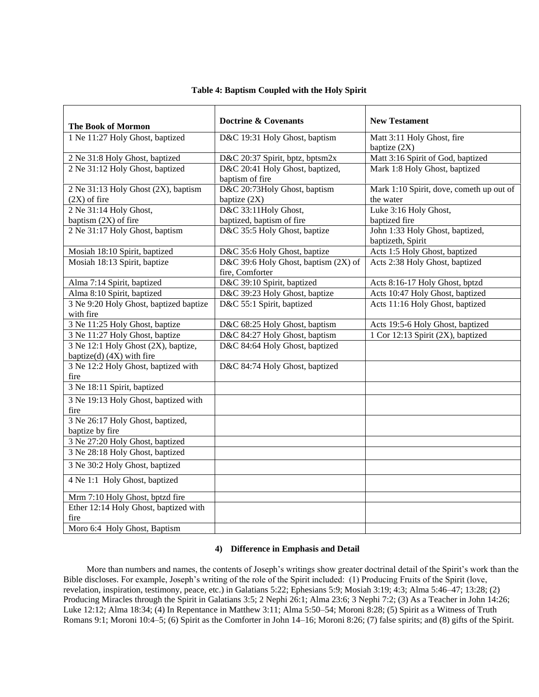| <b>The Book of Mormon</b>              | Doctrine & Covenants                 | <b>New Testament</b>                     |
|----------------------------------------|--------------------------------------|------------------------------------------|
| 1 Ne 11:27 Holy Ghost, baptized        | D&C 19:31 Holy Ghost, baptism        | Matt 3:11 Holy Ghost, fire               |
|                                        |                                      | baptize $(2X)$                           |
| 2 Ne 31:8 Holy Ghost, baptized         | D&C 20:37 Spirit, bptz, bptsm2x      | Matt 3:16 Spirit of God, baptized        |
| 2 Ne 31:12 Holy Ghost, baptized        | D&C 20:41 Holy Ghost, baptized,      | Mark 1:8 Holy Ghost, baptized            |
|                                        | baptism of fire                      |                                          |
| 2 Ne 31:13 Holy Ghost (2X), baptism    | D&C 20:73Holy Ghost, baptism         | Mark 1:10 Spirit, dove, cometh up out of |
| $(2X)$ of fire                         | baptize (2X)                         | the water                                |
| 2 Ne 31:14 Holy Ghost,                 | D&C 33:11Holy Ghost,                 | Luke 3:16 Holy Ghost,                    |
| baptism (2X) of fire                   | baptized, baptism of fire            | baptized fire                            |
| 2 Ne 31:17 Holy Ghost, baptism         | D&C 35:5 Holy Ghost, baptize         | John 1:33 Holy Ghost, baptized,          |
|                                        |                                      | baptizeth, Spirit                        |
| Mosiah 18:10 Spirit, baptized          | D&C 35:6 Holy Ghost, baptize         | Acts 1:5 Holy Ghost, baptized            |
| Mosiah 18:13 Spirit, baptize           | D&C 39:6 Holy Ghost, baptism (2X) of | Acts 2:38 Holy Ghost, baptized           |
|                                        | fire, Comforter                      |                                          |
| Alma 7:14 Spirit, baptized             | D&C 39:10 Spirit, baptized           | Acts 8:16-17 Holy Ghost, bptzd           |
| Alma 8:10 Spirit, baptized             | D&C 39:23 Holy Ghost, baptize        | Acts 10:47 Holy Ghost, baptized          |
| 3 Ne 9:20 Holy Ghost, baptized baptize | D&C 55:1 Spirit, baptized            | Acts 11:16 Holy Ghost, baptized          |
| with fire                              |                                      |                                          |
| 3 Ne 11:25 Holy Ghost, baptize         | D&C 68:25 Holy Ghost, baptism        | Acts 19:5-6 Holy Ghost, baptized         |
| 3 Ne 11:27 Holy Ghost, baptize         | D&C 84:27 Holy Ghost, baptism        | 1 Cor 12:13 Spirit (2X), baptized        |
| 3 Ne 12:1 Holy Ghost (2X), baptize,    | D&C 84:64 Holy Ghost, baptized       |                                          |
| baptize(d) (4X) with fire              |                                      |                                          |
| 3 Ne 12:2 Holy Ghost, baptized with    | D&C 84:74 Holy Ghost, baptized       |                                          |
| fire                                   |                                      |                                          |
| 3 Ne 18:11 Spirit, baptized            |                                      |                                          |
| 3 Ne 19:13 Holy Ghost, baptized with   |                                      |                                          |
| fire                                   |                                      |                                          |
| 3 Ne 26:17 Holy Ghost, baptized,       |                                      |                                          |
| baptize by fire                        |                                      |                                          |
| 3 Ne 27:20 Holy Ghost, baptized        |                                      |                                          |
| 3 Ne 28:18 Holy Ghost, baptized        |                                      |                                          |
| 3 Ne 30:2 Holy Ghost, baptized         |                                      |                                          |
| 4 Ne 1:1 Holy Ghost, baptized          |                                      |                                          |
| Mrm 7:10 Holy Ghost, bptzd fire        |                                      |                                          |
| Ether 12:14 Holy Ghost, baptized with  |                                      |                                          |
| fire                                   |                                      |                                          |
| Moro 6:4 Holy Ghost, Baptism           |                                      |                                          |

# **Table 4: Baptism Coupled with the Holy Spirit**

## **4) Difference in Emphasis and Detail**

 More than numbers and names, the contents of Joseph's writings show greater doctrinal detail of the Spirit's work than the Bible discloses. For example, Joseph's writing of the role of the Spirit included: (1) Producing Fruits of the Spirit (love, revelation, inspiration, testimony, peace, etc.) in Galatians 5:22; Ephesians 5:9; Mosiah 3:19; 4:3; Alma 5:46–47; 13:28; (2) Producing Miracles through the Spirit in Galatians 3:5; 2 Nephi 26:1; Alma 23:6; 3 Nephi 7:2; (3) As a Teacher in John 14:26; Luke 12:12; Alma 18:34; (4) In Repentance in Matthew 3:11; Alma 5:50–54; Moroni 8:28; (5) Spirit as a Witness of Truth Romans 9:1; Moroni 10:4–5; (6) Spirit as the Comforter in John 14–16; Moroni 8:26; (7) false spirits; and (8) gifts of the Spirit.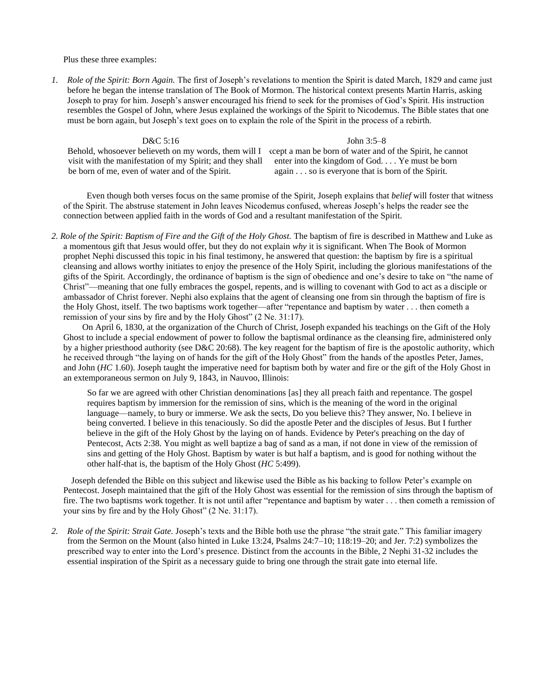Plus these three examples:

*1. Role of the Spirit: Born Again.* The first of Joseph's revelations to mention the Spirit is dated March, 1829 and came just before he began the intense translation of The Book of Mormon. The historical context presents Martin Harris, asking Joseph to pray for him. Joseph's answer encouraged his friend to seek for the promises of God's Spirit. His instruction resembles the Gospel of John, where Jesus explained the workings of the Spirit to Nicodemus. The Bible states that one must be born again, but Joseph's text goes on to explain the role of the Spirit in the process of a rebirth.

# D&C 5:16

visit with the manifestation of my Spirit; and they shall be born of me, even of water and of the Spirit.

Behold, whosoever believeth on my words, them will I ceept a man be born of water and of the Spirit, he cannot John 3:5–8 enter into the kingdom of God. . . . Ye must be born again . . . so is everyone that is born of the Spirit.

 Even though both verses focus on the same promise of the Spirit, Joseph explains that *belief* will foster that witness of the Spirit. The abstruse statement in John leaves Nicodemus confused, whereas Joseph's helps the reader see the connection between applied faith in the words of God and a resultant manifestation of the Spirit.

*2. Role of the Spirit: Baptism of Fire and the Gift of the Holy Ghost.* The baptism of fire is described in Matthew and Luke as a momentous gift that Jesus would offer, but they do not explain *why* it is significant. When The Book of Mormon prophet Nephi discussed this topic in his final testimony, he answered that question: the baptism by fire is a spiritual cleansing and allows worthy initiates to enjoy the presence of the Holy Spirit, including the glorious manifestations of the gifts of the Spirit. Accordingly, the ordinance of baptism is the sign of obedience and one's desire to take on "the name of Christ"—meaning that one fully embraces the gospel, repents, and is willing to covenant with God to act as a disciple or ambassador of Christ forever. Nephi also explains that the agent of cleansing one from sin through the baptism of fire is the Holy Ghost, itself. The two baptisms work together—after "repentance and baptism by water . . . then cometh a remission of your sins by fire and by the Holy Ghost" (2 Ne. 31:17).

 On April 6, 1830, at the organization of the Church of Christ, Joseph expanded his teachings on the Gift of the Holy Ghost to include a special endowment of power to follow the baptismal ordinance as the cleansing fire, administered only by a higher priesthood authority (see D&C 20:68). The key reagent for the baptism of fire is the apostolic authority, which he received through "the laying on of hands for the gift of the Holy Ghost" from the hands of the apostles Peter, James, and John (*HC* 1.60). Joseph taught the imperative need for baptism both by water and fire or the gift of the Holy Ghost in an extemporaneous sermon on July 9, 1843, in Nauvoo, Illinois:

So far we are agreed with other Christian denominations [as] they all preach faith and repentance. The gospel requires baptism by immersion for the remission of sins, which is the meaning of the word in the original language—namely, to bury or immerse. We ask the sects, Do you believe this? They answer, No. I believe in being converted. I believe in this tenaciously. So did the apostle Peter and the disciples of Jesus. But I further believe in the gift of the Holy Ghost by the laying on of hands. Evidence by Peter's preaching on the day of Pentecost, Acts 2:38. You might as well baptize a bag of sand as a man, if not done in view of the remission of sins and getting of the Holy Ghost. Baptism by water is but half a baptism, and is good for nothing without the other half-that is, the baptism of the Holy Ghost (*HC* 5:499).

 Joseph defended the Bible on this subject and likewise used the Bible as his backing to follow Peter's example on Pentecost. Joseph maintained that the gift of the Holy Ghost was essential for the remission of sins through the baptism of fire. The two baptisms work together. It is not until after "repentance and baptism by water . . . then cometh a remission of your sins by fire and by the Holy Ghost" (2 Ne. 31:17).

*2. Role of the Spirit: Strait Gate.* Joseph's texts and the Bible both use the phrase "the strait gate." This familiar imagery from the Sermon on the Mount (also hinted in Luke 13:24, Psalms 24:7–10; 118:19–20; and Jer. 7:2) symbolizes the prescribed way to enter into the Lord's presence. Distinct from the accounts in the Bible, 2 Nephi 31-32 includes the essential inspiration of the Spirit as a necessary guide to bring one through the strait gate into eternal life.